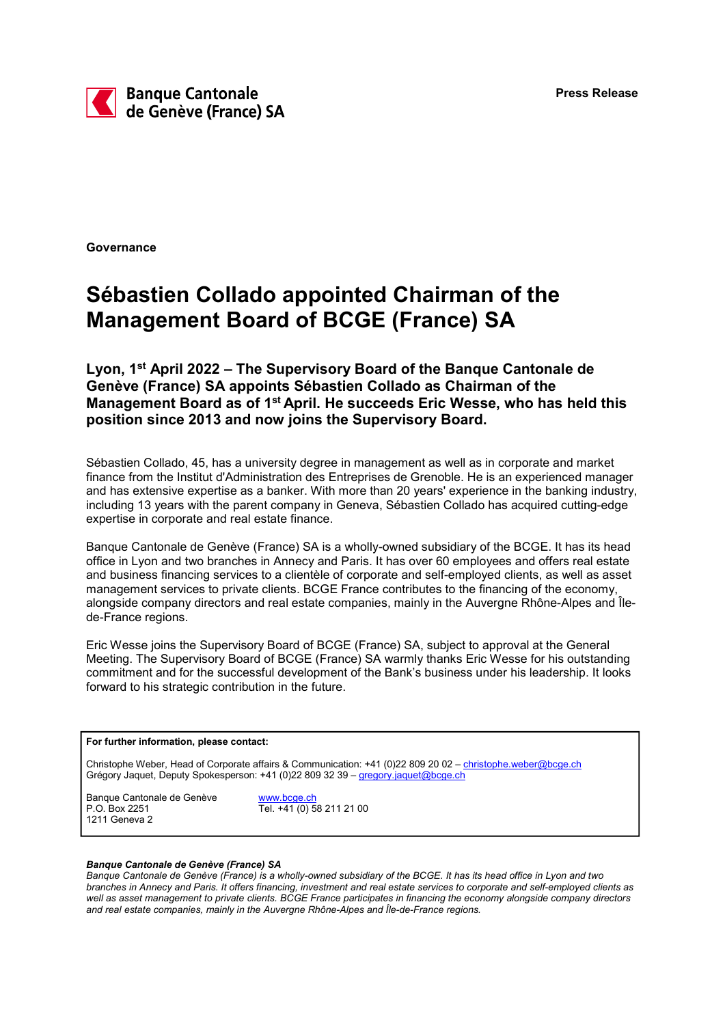

**Governance** 

## Sébastien Collado appointed Chairman of the Management Board of BCGE (France) SA

Lyon, 1st April 2022 – The Supervisory Board of the Banque Cantonale de Genève (France) SA appoints Sébastien Collado as Chairman of the Management Board as of 1<sup>st</sup> April. He succeeds Eric Wesse, who has held this position since 2013 and now joins the Supervisory Board.

Sébastien Collado, 45, has a university degree in management as well as in corporate and market finance from the Institut d'Administration des Entreprises de Grenoble. He is an experienced manager and has extensive expertise as a banker. With more than 20 years' experience in the banking industry, including 13 years with the parent company in Geneva, Sébastien Collado has acquired cutting-edge expertise in corporate and real estate finance.

Banque Cantonale de Genève (France) SA is a wholly-owned subsidiary of the BCGE. It has its head office in Lyon and two branches in Annecy and Paris. It has over 60 employees and offers real estate and business financing services to a clientèle of corporate and self-employed clients, as well as asset management services to private clients. BCGE France contributes to the financing of the economy, alongside company directors and real estate companies, mainly in the Auvergne Rhône-Alpes and Îlede-France regions.

Eric Wesse joins the Supervisory Board of BCGE (France) SA, subject to approval at the General Meeting. The Supervisory Board of BCGE (France) SA warmly thanks Eric Wesse for his outstanding commitment and for the successful development of the Bank's business under his leadership. It looks forward to his strategic contribution in the future.

## For further information, please contact:

Christophe Weber, Head of Corporate affairs & Communication: +41 (0)22 809 20 02 – christophe.weber@bcge.ch Grégory Jaquet, Deputy Spokesperson: +41 (0)22 809 32 39 - gregory.jaquet@bcge.ch

Banque Cantonale de Genève www.bcge.ch P.O. Box 2251 Tel. +41 (0) 58 211 21 00 1211 Geneva 2

## Banque Cantonale de Genève (France) SA

Banque Cantonale de Genève (France) is a wholly-owned subsidiary of the BCGE. It has its head office in Lyon and two branches in Annecy and Paris. It offers financing, investment and real estate services to corporate and self-employed clients as well as asset management to private clients. BCGE France participates in financing the economy alongside company directors and real estate companies, mainly in the Auvergne Rhône-Alpes and Île-de-France regions.